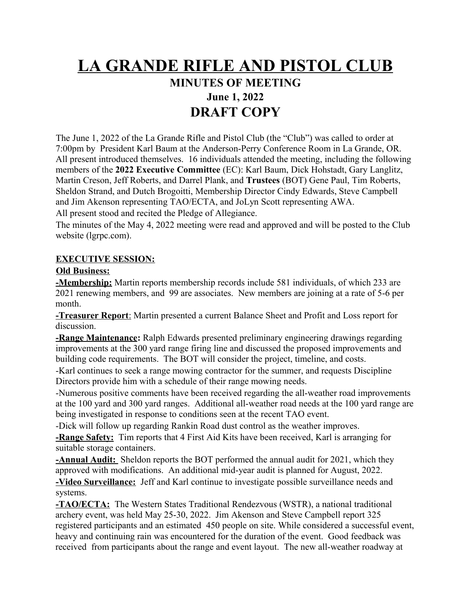# **LA GRANDE RIFLE AND PISTOL CLUB**

# **MINUTES OF MEETING June 1, 2022 DRAFT COPY**

The June 1, 2022 of the La Grande Rifle and Pistol Club (the "Club") was called to order at 7:00pm by President Karl Baum at the Anderson-Perry Conference Room in La Grande, OR. All present introduced themselves. 16 individuals attended the meeting, including the following members of the **2022 Executive Committee** (EC): Karl Baum, Dick Hohstadt, Gary Langlitz, Martin Creson, Jeff Roberts, and Darrel Plank, and **Trustees** (BOT) Gene Paul, Tim Roberts, Sheldon Strand, and Dutch Brogoitti, Membership Director Cindy Edwards, Steve Campbell and Jim Akenson representing TAO/ECTA, and JoLyn Scott representing AWA. All present stood and recited the Pledge of Allegiance.

The minutes of the May 4, 2022 meeting were read and approved and will be posted to the Club website (lgrpc.com).

#### **EXECUTIVE SESSION:**

#### **Old Business:**

**-Membership:** Martin reports membership records include 581 individuals, of which 233 are 2021 renewing members, and 99 are associates. New members are joining at a rate of 5-6 per month.

 **-Treasurer Report**: Martin presented a current Balance Sheet and Profit and Loss report for discussion.

**-Range Maintenance:** Ralph Edwards presented preliminary engineering drawings regarding improvements at the 300 yard range firing line and discussed the proposed improvements and building code requirements. The BOT will consider the project, timeline, and costs.

-Karl continues to seek a range mowing contractor for the summer, and requests Discipline Directors provide him with a schedule of their range mowing needs.

-Numerous positive comments have been received regarding the all-weather road improvements at the 100 yard and 300 yard ranges. Additional all-weather road needs at the 100 yard range are being investigated in response to conditions seen at the recent TAO event.

-Dick will follow up regarding Rankin Road dust control as the weather improves.

**-Range Safety:** Tim reports that 4 First Aid Kits have been received, Karl is arranging for suitable storage containers.

**-Annual Audit:** Sheldon reports the BOT performed the annual audit for 2021, which they approved with modifications. An additional mid-year audit is planned for August, 2022.

**-Video Surveillance:** Jeff and Karl continue to investigate possible surveillance needs and systems.

**-TAO/ECTA:** The Western States Traditional Rendezvous (WSTR), a national traditional archery event, was held May 25-30, 2022. Jim Akenson and Steve Campbell report 325 registered participants and an estimated 450 people on site. While considered a successful event, heavy and continuing rain was encountered for the duration of the event. Good feedback was received from participants about the range and event layout. The new all-weather roadway at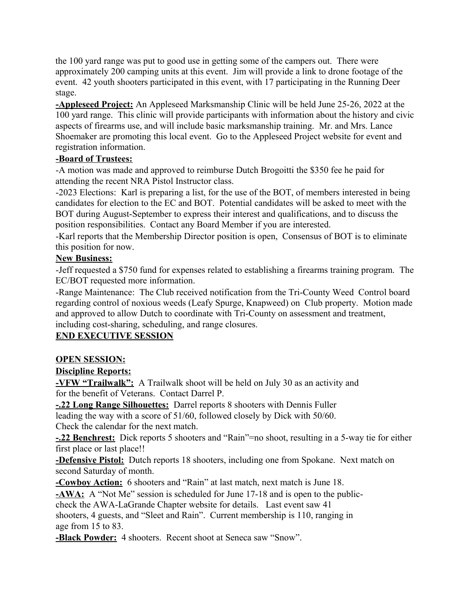the 100 yard range was put to good use in getting some of the campers out. There were approximately 200 camping units at this event. Jim will provide a link to drone footage of the event. 42 youth shooters participated in this event, with 17 participating in the Running Deer stage.

**-Appleseed Project:** An Appleseed Marksmanship Clinic will be held June 25-26, 2022 at the 100 yard range. This clinic will provide participants with information about the history and civic aspects of firearms use, and will include basic marksmanship training. Mr. and Mrs. Lance Shoemaker are promoting this local event. Go to the Appleseed Project website for event and registration information.

## **-Board of Trustees:**

-A motion was made and approved to reimburse Dutch Brogoitti the \$350 fee he paid for attending the recent NRA Pistol Instructor class.

-2023 Elections: Karl is preparing a list, for the use of the BOT, of members interested in being candidates for election to the EC and BOT. Potential candidates will be asked to meet with the BOT during August-September to express their interest and qualifications, and to discuss the position responsibilities. Contact any Board Member if you are interested.

-Karl reports that the Membership Director position is open, Consensus of BOT is to eliminate this position for now.

## **New Business:**

-Jeff requested a \$750 fund for expenses related to establishing a firearms training program. The EC/BOT requested more information.

-Range Maintenance: The Club received notification from the Tri-County Weed Control board regarding control of noxious weeds (Leafy Spurge, Knapweed) on Club property. Motion made and approved to allow Dutch to coordinate with Tri-County on assessment and treatment, including cost-sharing, scheduling, and range closures.

## **END EXECUTIVE SESSION**

## **OPEN SESSION:**

## **Discipline Reports:**

**-VFW "Trailwalk":** A Trailwalk shoot will be held on July 30 as an activity and for the benefit of Veterans. Contact Darrel P.

**-.22 Long Range Silhouettes:** Darrel reports 8 shooters with Dennis Fuller

leading the way with a score of 51/60, followed closely by Dick with 50/60. Check the calendar for the next match.

**-.22 Benchrest:** Dick reports 5 shooters and "Rain"=no shoot, resulting in a 5-way tie for either first place or last place!!

**-Defensive Pistol:** Dutch reports 18 shooters, including one from Spokane. Next match on second Saturday of month.

**-Cowboy Action:** 6 shooters and "Rain" at last match, next match is June 18.

**-AWA:** A "Not Me" session is scheduled for June 17-18 and is open to the public-

check the AWA-LaGrande Chapter website for details. Last event saw 41

shooters, 4 guests, and "Sleet and Rain". Current membership is 110, ranging in age from 15 to 83.

**-Black Powder:** 4 shooters. Recent shoot at Seneca saw "Snow".